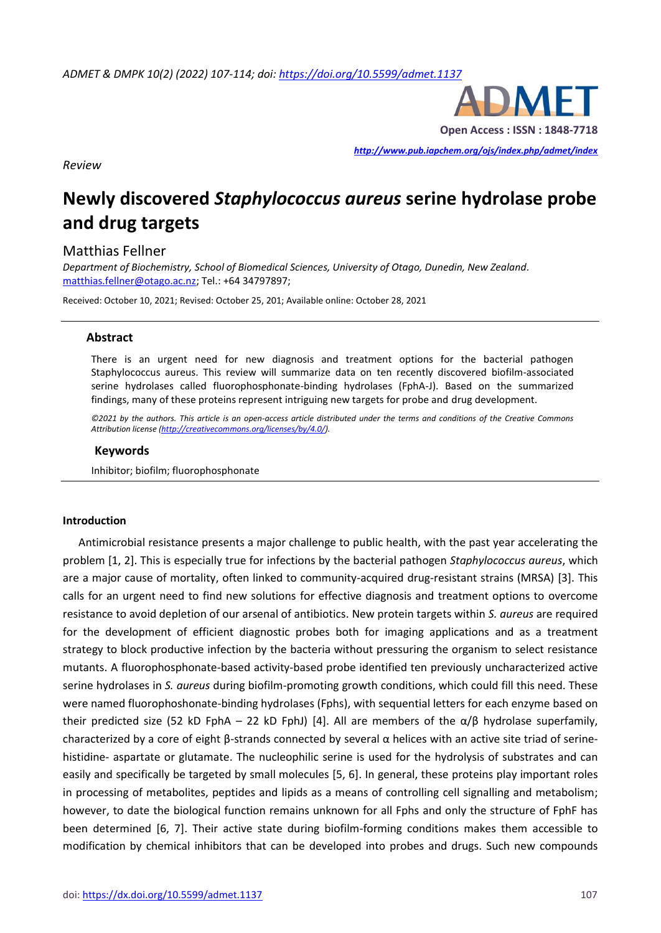

*<http://www.pub.iapchem.org/ojs/index.php/admet/index>* 

*Review*

# **Newly discovered** *Staphylococcus aureus* **serine hydrolase probe and drug targets**

### Matthias Fellner

*Department of Biochemistry, School of Biomedical Sciences, University of Otago, Dunedin, New Zealand.*  [matthias.fellner@otago.ac.nz;](mailto:matthias.fellner@otago.ac.nz) Tel.: +64 34797897;

Received: October 10, 2021; Revised: October 25, 201; Available online: October 28, 2021

#### **Abstract**

There is an urgent need for new diagnosis and treatment options for the bacterial pathogen Staphylococcus aureus. This review will summarize data on ten recently discovered biofilm-associated serine hydrolases called fluorophosphonate-binding hydrolases (FphA-J). Based on the summarized findings, many of these proteins represent intriguing new targets for probe and drug development.

*©2021 by the authors. This article is an open-access article distributed under the terms and conditions of the Creative Commons Attribution license [\(http://creativecommons.org/licenses/by/4.0/\)](http://creativecommons.org/licenses/by/4.0/).*

#### **Keywords**

Inhibitor; biofilm; fluorophosphonate

#### **Introduction**

Antimicrobial resistance presents a major challenge to public health, with the past year accelerating the problem [1, 2]. This is especially true for infections by the bacterial pathogen *Staphylococcus aureus*, which are a major cause of mortality, often linked to community-acquired drug-resistant strains (MRSA) [3]. This calls for an urgent need to find new solutions for effective diagnosis and treatment options to overcome resistance to avoid depletion of our arsenal of antibiotics. New protein targets within *S. aureus* are required for the development of efficient diagnostic probes both for imaging applications and as a treatment strategy to block productive infection by the bacteria without pressuring the organism to select resistance mutants. A fluorophosphonate-based activity-based probe identified ten previously uncharacterized active serine hydrolases in *S. aureus* during biofilm-promoting growth conditions, which could fill this need. These were named fluorophoshonate-binding hydrolases (Fphs), with sequential letters for each enzyme based on their predicted size (52 kD FphA – 22 kD FphJ) [4]. All are members of the  $\alpha/\beta$  hydrolase superfamily, characterized by a core of eight β-strands connected by several α helices with an active site triad of serinehistidine- aspartate or glutamate. The nucleophilic serine is used for the hydrolysis of substrates and can easily and specifically be targeted by small molecules [5, 6]. In general, these proteins play important roles in processing of metabolites, peptides and lipids as a means of controlling cell signalling and metabolism; however, to date the biological function remains unknown for all Fphs and only the structure of FphF has been determined [6, 7]. Their active state during biofilm-forming conditions makes them accessible to modification by chemical inhibitors that can be developed into probes and drugs. Such new compounds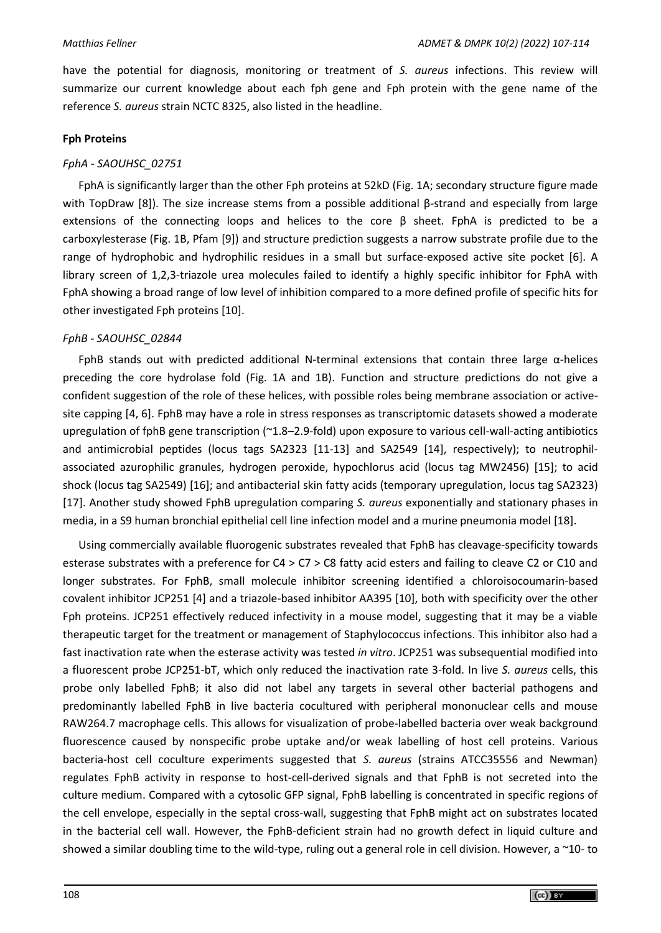have the potential for diagnosis, monitoring or treatment of *S. aureus* infections. This review will summarize our current knowledge about each fph gene and Fph protein with the gene name of the reference *S. aureus* strain NCTC 8325, also listed in the headline.

# **Fph Proteins**

# *FphA - SAOUHSC\_02751*

FphA is significantly larger than the other Fph proteins at 52kD (Fig. 1A; secondary structure figure made with TopDraw [8]). The size increase stems from a possible additional β-strand and especially from large extensions of the connecting loops and helices to the core  $\beta$  sheet. FphA is predicted to be a carboxylesterase (Fig. 1B, Pfam [9]) and structure prediction suggests a narrow substrate profile due to the range of hydrophobic and hydrophilic residues in a small but surface-exposed active site pocket [6]. A library screen of 1,2,3-triazole urea molecules failed to identify a highly specific inhibitor for FphA with FphA showing a broad range of low level of inhibition compared to a more defined profile of specific hits for other investigated Fph proteins [10].

# *FphB - SAOUHSC\_02844*

FphB stands out with predicted additional N-terminal extensions that contain three large α-helices preceding the core hydrolase fold (Fig. 1A and 1B). Function and structure predictions do not give a confident suggestion of the role of these helices, with possible roles being membrane association or activesite capping [4, 6]. FphB may have a role in stress responses as transcriptomic datasets showed a moderate upregulation of fphB gene transcription (~1.8–2.9-fold) upon exposure to various cell-wall-acting antibiotics and antimicrobial peptides (locus tags SA2323 [11-13] and SA2549 [14], respectively); to neutrophilassociated azurophilic granules, hydrogen peroxide, hypochlorus acid (locus tag MW2456) [15]; to acid shock (locus tag SA2549) [16]; and antibacterial skin fatty acids (temporary upregulation, locus tag SA2323) [17]. Another study showed FphB upregulation comparing *S. aureus* exponentially and stationary phases in media, in a S9 human bronchial epithelial cell line infection model and a murine pneumonia model [18].

Using commercially available fluorogenic substrates revealed that FphB has cleavage-specificity towards esterase substrates with a preference for C4 > C7 > C8 fatty acid esters and failing to cleave C2 or C10 and longer substrates. For FphB, small molecule inhibitor screening identified a chloroisocoumarin-based covalent inhibitor JCP251 [4] and a triazole-based inhibitor AA395 [10], both with specificity over the other Fph proteins. JCP251 effectively reduced infectivity in a mouse model, suggesting that it may be a viable therapeutic target for the treatment or management of Staphylococcus infections. This inhibitor also had a fast inactivation rate when the esterase activity was tested *in vitro*. JCP251 was subsequential modified into a fluorescent probe JCP251-bT, which only reduced the inactivation rate 3-fold. In live *S. aureus* cells, this probe only labelled FphB; it also did not label any targets in several other bacterial pathogens and predominantly labelled FphB in live bacteria cocultured with peripheral mononuclear cells and mouse RAW264.7 macrophage cells. This allows for visualization of probe-labelled bacteria over weak background fluorescence caused by nonspecific probe uptake and/or weak labelling of host cell proteins. Various bacteria-host cell coculture experiments suggested that *S. aureus* (strains ATCC35556 and Newman) regulates FphB activity in response to host-cell-derived signals and that FphB is not secreted into the culture medium. Compared with a cytosolic GFP signal, FphB labelling is concentrated in specific regions of the cell envelope, especially in the septal cross-wall, suggesting that FphB might act on substrates located in the bacterial cell wall. However, the FphB-deficient strain had no growth defect in liquid culture and showed a similar doubling time to the wild-type, ruling out a general role in cell division. However, a ~10- to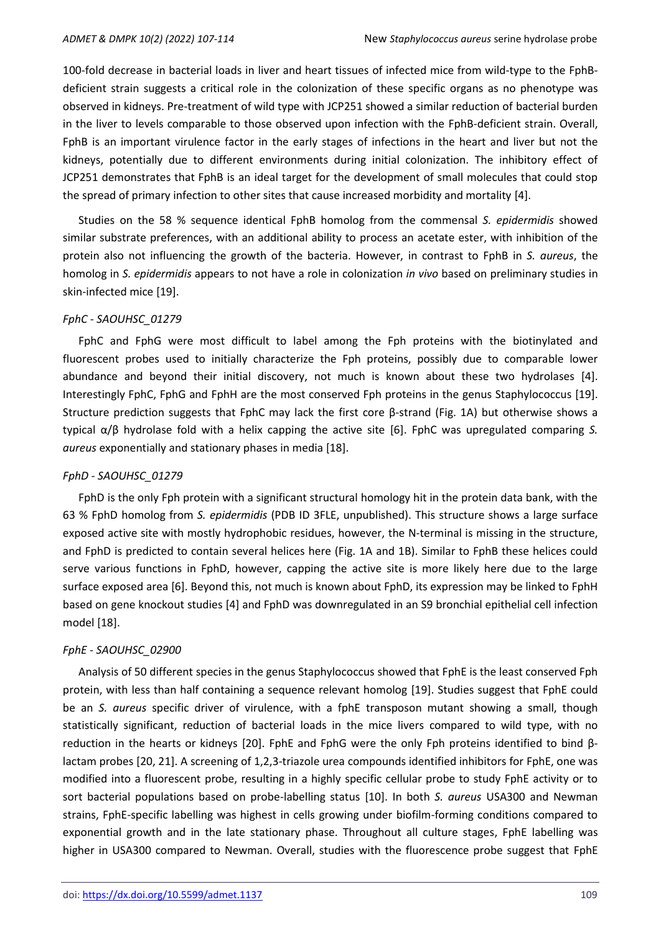100-fold decrease in bacterial loads in liver and heart tissues of infected mice from wild-type to the FphBdeficient strain suggests a critical role in the colonization of these specific organs as no phenotype was observed in kidneys. Pre-treatment of wild type with JCP251 showed a similar reduction of bacterial burden in the liver to levels comparable to those observed upon infection with the FphB-deficient strain. Overall, FphB is an important virulence factor in the early stages of infections in the heart and liver but not the kidneys, potentially due to different environments during initial colonization. The inhibitory effect of JCP251 demonstrates that FphB is an ideal target for the development of small molecules that could stop the spread of primary infection to other sites that cause increased morbidity and mortality [4].

Studies on the 58 % sequence identical FphB homolog from the commensal *S. epidermidis* showed similar substrate preferences, with an additional ability to process an acetate ester, with inhibition of the protein also not influencing the growth of the bacteria. However, in contrast to FphB in *S. aureus*, the homolog in *S. epidermidis* appears to not have a role in colonization *in vivo* based on preliminary studies in skin-infected mice [19].

### *FphC - SAOUHSC\_01279*

FphC and FphG were most difficult to label among the Fph proteins with the biotinylated and fluorescent probes used to initially characterize the Fph proteins, possibly due to comparable lower abundance and beyond their initial discovery, not much is known about these two hydrolases [4]. Interestingly FphC, FphG and FphH are the most conserved Fph proteins in the genus Staphylococcus [19]. Structure prediction suggests that FphC may lack the first core  $\beta$ -strand (Fig. 1A) but otherwise shows a typical α/β hydrolase fold with a helix capping the active site [6]. FphC was upregulated comparing *S. aureus* exponentially and stationary phases in media [18].

### *FphD - SAOUHSC\_01279*

FphD is the only Fph protein with a significant structural homology hit in the protein data bank, with the 63 % FphD homolog from *S. epidermidis* (PDB ID 3FLE, unpublished). This structure shows a large surface exposed active site with mostly hydrophobic residues, however, the N-terminal is missing in the structure, and FphD is predicted to contain several helices here (Fig. 1A and 1B). Similar to FphB these helices could serve various functions in FphD, however, capping the active site is more likely here due to the large surface exposed area [6]. Beyond this, not much is known about FphD, its expression may be linked to FphH based on gene knockout studies [4] and FphD was downregulated in an S9 bronchial epithelial cell infection model [18].

# *FphE - SAOUHSC\_02900*

Analysis of 50 different species in the genus Staphylococcus showed that FphE is the least conserved Fph protein, with less than half containing a sequence relevant homolog [19]. Studies suggest that FphE could be an *S. aureus* specific driver of virulence, with a fphE transposon mutant showing a small, though statistically significant, reduction of bacterial loads in the mice livers compared to wild type, with no reduction in the hearts or kidneys [20]. FphE and FphG were the only Fph proteins identified to bind βlactam probes [20, 21]. A screening of 1,2,3-triazole urea compounds identified inhibitors for FphE, one was modified into a fluorescent probe, resulting in a highly specific cellular probe to study FphE activity or to sort bacterial populations based on probe-labelling status [10]. In both *S. aureus* USA300 and Newman strains, FphE-specific labelling was highest in cells growing under biofilm-forming conditions compared to exponential growth and in the late stationary phase. Throughout all culture stages, FphE labelling was higher in USA300 compared to Newman. Overall, studies with the fluorescence probe suggest that FphE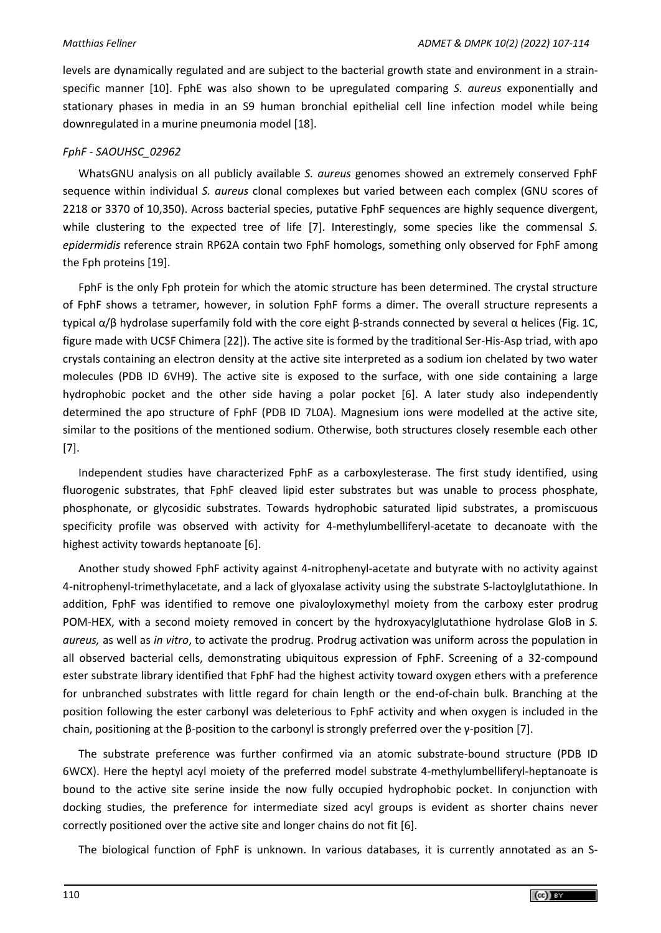levels are dynamically regulated and are subject to the bacterial growth state and environment in a strainspecific manner [10]. FphE was also shown to be upregulated comparing *S. aureus* exponentially and stationary phases in media in an S9 human bronchial epithelial cell line infection model while being downregulated in a murine pneumonia model [18].

# *FphF - SAOUHSC\_02962*

WhatsGNU analysis on all publicly available *S. aureus* genomes showed an extremely conserved FphF sequence within individual *S. aureus* clonal complexes but varied between each complex (GNU scores of 2218 or 3370 of 10,350). Across bacterial species, putative FphF sequences are highly sequence divergent, while clustering to the expected tree of life [7]. Interestingly, some species like the commensal *S. epidermidis* reference strain RP62A contain two FphF homologs, something only observed for FphF among the Fph proteins [19].

FphF is the only Fph protein for which the atomic structure has been determined. The crystal structure of FphF shows a tetramer, however, in solution FphF forms a dimer. The overall structure represents a typical α/β hydrolase superfamily fold with the core eight β-strands connected by several α helices (Fig. 1C, figure made with UCSF Chimera [22]). The active site is formed by the traditional Ser-His-Asp triad, with apo crystals containing an electron density at the active site interpreted as a sodium ion chelated by two water molecules (PDB ID 6VH9). The active site is exposed to the surface, with one side containing a large hydrophobic pocket and the other side having a polar pocket [6]. A later study also independently determined the apo structure of FphF (PDB ID 7L0A). Magnesium ions were modelled at the active site, similar to the positions of the mentioned sodium. Otherwise, both structures closely resemble each other [7].

Independent studies have characterized FphF as a carboxylesterase. The first study identified, using fluorogenic substrates, that FphF cleaved lipid ester substrates but was unable to process phosphate, phosphonate, or glycosidic substrates. Towards hydrophobic saturated lipid substrates, a promiscuous specificity profile was observed with activity for 4-methylumbelliferyl-acetate to decanoate with the highest activity towards heptanoate [6].

Another study showed FphF activity against 4-nitrophenyl-acetate and butyrate with no activity against 4-nitrophenyl-trimethylacetate, and a lack of glyoxalase activity using the substrate S-lactoylglutathione. In addition, FphF was identified to remove one pivaloyloxymethyl moiety from the carboxy ester prodrug POM-HEX, with a second moiety removed in concert by the hydroxyacylglutathione hydrolase GloB in *S. aureus,* as well as *in vitro*, to activate the prodrug. Prodrug activation was uniform across the population in all observed bacterial cells, demonstrating ubiquitous expression of FphF. Screening of a 32-compound ester substrate library identified that FphF had the highest activity toward oxygen ethers with a preference for unbranched substrates with little regard for chain length or the end-of-chain bulk. Branching at the position following the ester carbonyl was deleterious to FphF activity and when oxygen is included in the chain, positioning at the β-position to the carbonyl is strongly preferred over the γ-position [7].

The substrate preference was further confirmed via an atomic substrate-bound structure (PDB ID 6WCX). Here the heptyl acyl moiety of the preferred model substrate 4-methylumbelliferyl-heptanoate is bound to the active site serine inside the now fully occupied hydrophobic pocket. In conjunction with docking studies, the preference for intermediate sized acyl groups is evident as shorter chains never correctly positioned over the active site and longer chains do not fit [6].

The biological function of FphF is unknown. In various databases, it is currently annotated as an S-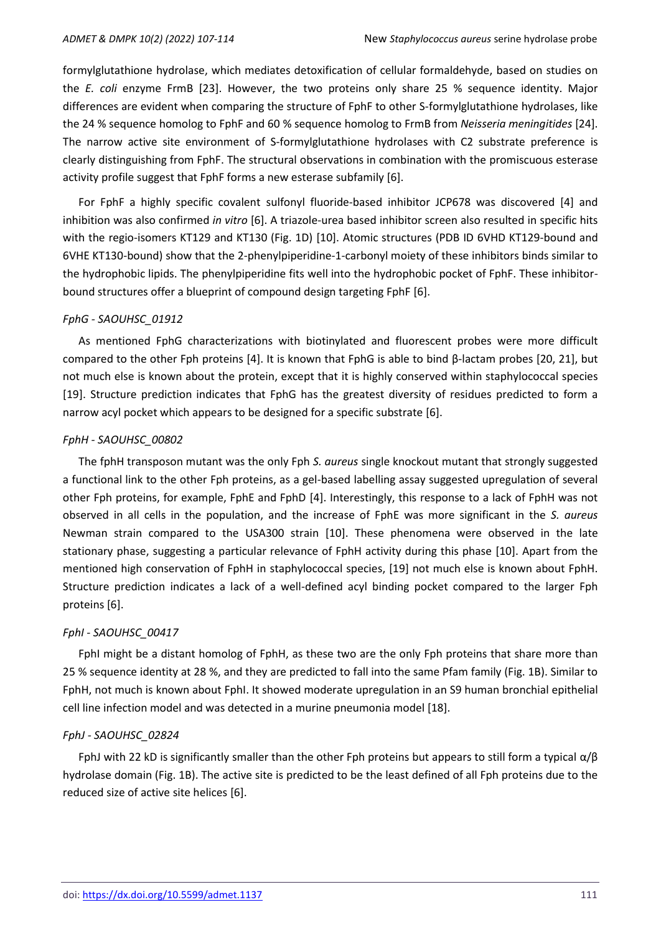formylglutathione hydrolase, which mediates detoxification of cellular formaldehyde, based on studies on the *E. coli* enzyme FrmB [23]. However, the two proteins only share 25 % sequence identity. Major differences are evident when comparing the structure of FphF to other S-formylglutathione hydrolases, like the 24 % sequence homolog to FphF and 60 % sequence homolog to FrmB from *Neisseria meningitides* [24]. The narrow active site environment of S-formylglutathione hydrolases with C2 substrate preference is clearly distinguishing from FphF. The structural observations in combination with the promiscuous esterase activity profile suggest that FphF forms a new esterase subfamily [6].

For FphF a highly specific covalent sulfonyl fluoride-based inhibitor JCP678 was discovered [4] and inhibition was also confirmed *in vitro* [6]. A triazole-urea based inhibitor screen also resulted in specific hits with the regio-isomers KT129 and KT130 (Fig. 1D) [10]. Atomic structures (PDB ID 6VHD KT129-bound and 6VHE KT130-bound) show that the 2-phenylpiperidine-1-carbonyl moiety of these inhibitors binds similar to the hydrophobic lipids. The phenylpiperidine fits well into the hydrophobic pocket of FphF. These inhibitorbound structures offer a blueprint of compound design targeting FphF [6].

### *FphG - SAOUHSC\_01912*

As mentioned FphG characterizations with biotinylated and fluorescent probes were more difficult compared to the other Fph proteins [4]. It is known that FphG is able to bind β-lactam probes [20, 21], but not much else is known about the protein, except that it is highly conserved within staphylococcal species [19]. Structure prediction indicates that FphG has the greatest diversity of residues predicted to form a narrow acyl pocket which appears to be designed for a specific substrate [6].

# *FphH - SAOUHSC\_00802*

The fphH transposon mutant was the only Fph *S. aureus* single knockout mutant that strongly suggested a functional link to the other Fph proteins, as a gel-based labelling assay suggested upregulation of several other Fph proteins, for example, FphE and FphD [4]. Interestingly, this response to a lack of FphH was not observed in all cells in the population, and the increase of FphE was more significant in the *S. aureus* Newman strain compared to the USA300 strain [10]. These phenomena were observed in the late stationary phase, suggesting a particular relevance of FphH activity during this phase [10]. Apart from the mentioned high conservation of FphH in staphylococcal species, [19] not much else is known about FphH. Structure prediction indicates a lack of a well-defined acyl binding pocket compared to the larger Fph proteins [6].

# *FphI - SAOUHSC\_00417*

FphI might be a distant homolog of FphH, as these two are the only Fph proteins that share more than 25 % sequence identity at 28 %, and they are predicted to fall into the same Pfam family (Fig. 1B). Similar to FphH, not much is known about FphI. It showed moderate upregulation in an S9 human bronchial epithelial cell line infection model and was detected in a murine pneumonia model [18].

# *FphJ - SAOUHSC\_02824*

FphJ with 22 kD is significantly smaller than the other Fph proteins but appears to still form a typical  $\alpha/\beta$ hydrolase domain (Fig. 1B). The active site is predicted to be the least defined of all Fph proteins due to the reduced size of active site helices [6].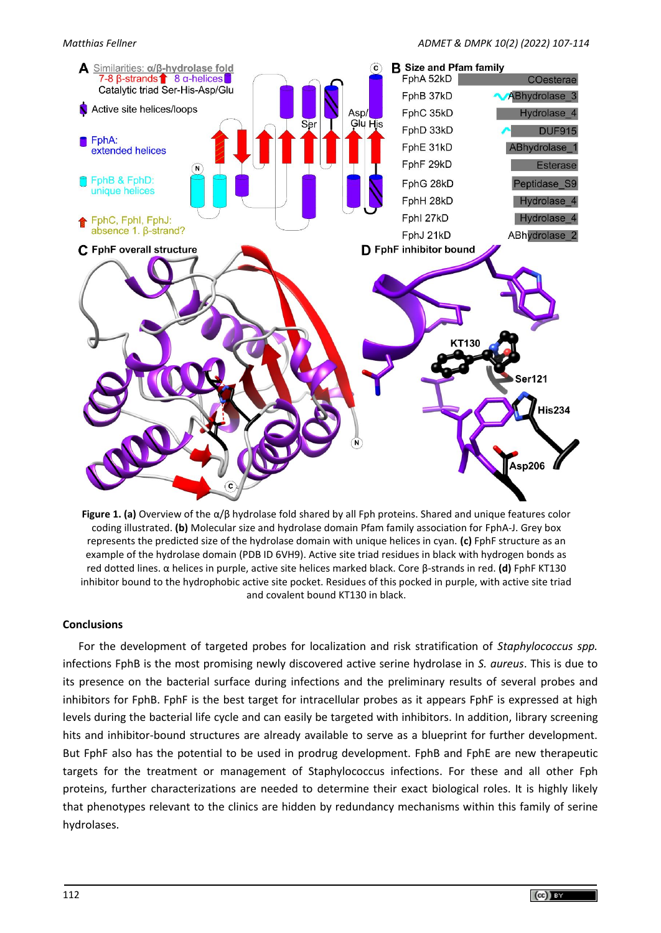

**Figure 1. (a)** Overview of the α/β hydrolase fold shared by all Fph proteins. Shared and unique features color coding illustrated. **(b)** Molecular size and hydrolase domain Pfam family association for FphA-J. Grey box represents the predicted size of the hydrolase domain with unique helices in cyan. **(c)** FphF structure as an example of the hydrolase domain (PDB ID 6VH9). Active site triad residues in black with hydrogen bonds as red dotted lines. α helices in purple, active site helices marked black. Core β-strands in red. **(d)** FphF KT130 inhibitor bound to the hydrophobic active site pocket. Residues of this pocked in purple, with active site triad and covalent bound KT130 in black.

# **Conclusions**

For the development of targeted probes for localization and risk stratification of *Staphylococcus spp.* infections FphB is the most promising newly discovered active serine hydrolase in *S. aureus*. This is due to its presence on the bacterial surface during infections and the preliminary results of several probes and inhibitors for FphB. FphF is the best target for intracellular probes as it appears FphF is expressed at high levels during the bacterial life cycle and can easily be targeted with inhibitors. In addition, library screening hits and inhibitor-bound structures are already available to serve as a blueprint for further development. But FphF also has the potential to be used in prodrug development. FphB and FphE are new therapeutic targets for the treatment or management of Staphylococcus infections. For these and all other Fph proteins, further characterizations are needed to determine their exact biological roles. It is highly likely that phenotypes relevant to the clinics are hidden by redundancy mechanisms within this family of serine hydrolases.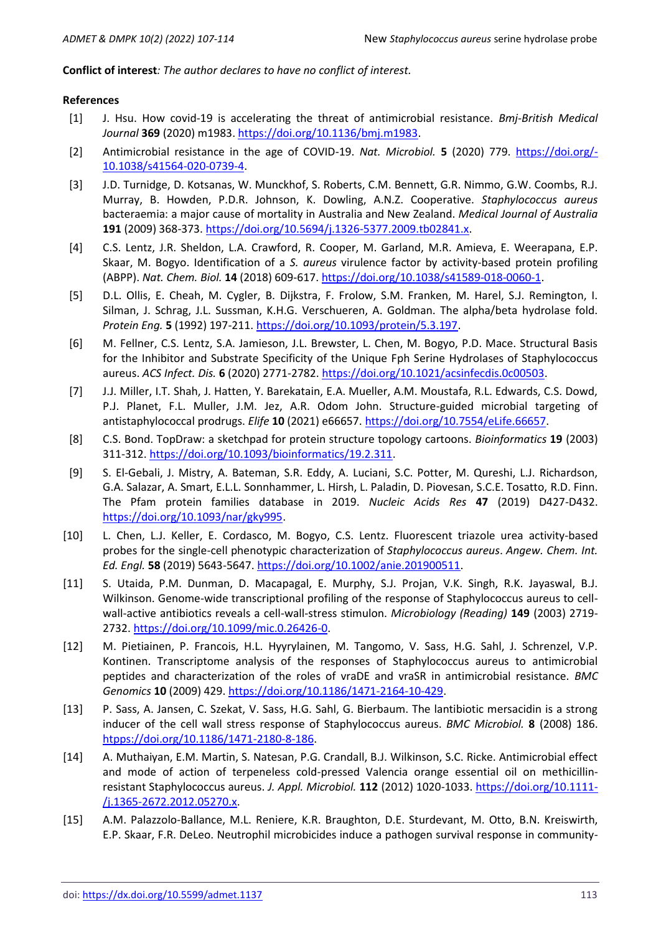### **Conflict of interest***: The author declares to have no conflict of interest.*

#### **References**

- [1] J. Hsu. How covid-19 is accelerating the threat of antimicrobial resistance. *Bmj-British Medical Journal* **369** (2020) m1983. [https://doi.org/10.1136/bmj.m1983.](https://doi.org/10.1136/bmj.m1983)
- [2] Antimicrobial resistance in the age of COVID-19. *Nat. Microbiol.* **5** (2020) 779. [https://doi.org/-](https://doi.org/10.1038/s41564-020-0739-4) [10.1038/s41564-020-0739-4.](https://doi.org/10.1038/s41564-020-0739-4)
- [3] J.D. Turnidge, D. Kotsanas, W. Munckhof, S. Roberts, C.M. Bennett, G.R. Nimmo, G.W. Coombs, R.J. Murray, B. Howden, P.D.R. Johnson, K. Dowling, A.N.Z. Cooperative. *Staphylococcus aureus* bacteraemia: a major cause of mortality in Australia and New Zealand. *Medical Journal of Australia* **191** (2009) 368-373. [https://doi.org/10.5694/j.1326-5377.2009.tb02841.x.](https://doi.org/10.5694/j.1326-5377.2009.tb02841.x)
- [4] C.S. Lentz, J.R. Sheldon, L.A. Crawford, R. Cooper, M. Garland, M.R. Amieva, E. Weerapana, E.P. Skaar, M. Bogyo. Identification of a *S. aureus* virulence factor by activity-based protein profiling (ABPP). *Nat. Chem. Biol.* **14** (2018) 609-617. [https://doi.org/10.1038/s41589-018-0060-1.](https://doi.org/10.1038/s41589-018-0060-1)
- [5] D.L. Ollis, E. Cheah, M. Cygler, B. Dijkstra, F. Frolow, S.M. Franken, M. Harel, S.J. Remington, I. Silman, J. Schrag, J.L. Sussman, K.H.G. Verschueren, A. Goldman. The alpha/beta hydrolase fold. *Protein Eng.* **5** (1992) 197-211. [https://doi.org/10.1093/protein/5.3.197.](https://doi.org/10.1093/protein/5.3.197)
- [6] M. Fellner, C.S. Lentz, S.A. Jamieson, J.L. Brewster, L. Chen, M. Bogyo, P.D. Mace. Structural Basis for the Inhibitor and Substrate Specificity of the Unique Fph Serine Hydrolases of Staphylococcus aureus. *ACS Infect. Dis.* **6** (2020) 2771-2782. [https://doi.org/10.1021/acsinfecdis.0c00503.](https://doi.org/10.1021/acsinfecdis.0c00503)
- [7] J.J. Miller, I.T. Shah, J. Hatten, Y. Barekatain, E.A. Mueller, A.M. Moustafa, R.L. Edwards, C.S. Dowd, P.J. Planet, F.L. Muller, J.M. Jez, A.R. Odom John. Structure-guided microbial targeting of antistaphylococcal prodrugs. *Elife* **10** (2021) e66657. [https://doi.org/10.7554/eLife.66657.](https://doi.org/10.7554/elife.66657)
- [8] C.S. Bond. TopDraw: a sketchpad for protein structure topology cartoons. *Bioinformatics* **19** (2003) 311-312. [https://doi.org/10.1093/bioinformatics/19.2.311.](https://doi.org/10.1093/bioinformatics/19.2.311)
- [9] S. El-Gebali, J. Mistry, A. Bateman, S.R. Eddy, A. Luciani, S.C. Potter, M. Qureshi, L.J. Richardson, G.A. Salazar, A. Smart, E.L.L. Sonnhammer, L. Hirsh, L. Paladin, D. Piovesan, S.C.E. Tosatto, R.D. Finn. The Pfam protein families database in 2019. *Nucleic Acids Res* **47** (2019) D427-D432. [https://doi.org/10.1093/nar/gky995.](https://doi.org/10.1093/nar/gky995)
- [10] L. Chen, L.J. Keller, E. Cordasco, M. Bogyo, C.S. Lentz. Fluorescent triazole urea activity-based probes for the single-cell phenotypic characterization of *Staphylococcus aureus*. *Angew. Chem. Int. Ed. Engl.* **58** (2019) 5643-5647. [https://doi.org/10.1002/anie.201900511.](https://doi.org/10.1002/anie.201900511)
- [11] S. Utaida, P.M. Dunman, D. Macapagal, E. Murphy, S.J. Projan, V.K. Singh, R.K. Jayaswal, B.J. Wilkinson. Genome-wide transcriptional profiling of the response of Staphylococcus aureus to cellwall-active antibiotics reveals a cell-wall-stress stimulon. *Microbiology (Reading)* **149** (2003) 2719- 2732. [https://doi.org/10.1099/mic.0.26426-0.](https://doi.org/10.1099/mic.0.26426-0)
- [12] M. Pietiainen, P. Francois, H.L. Hyyrylainen, M. Tangomo, V. Sass, H.G. Sahl, J. Schrenzel, V.P. Kontinen. Transcriptome analysis of the responses of Staphylococcus aureus to antimicrobial peptides and characterization of the roles of vraDE and vraSR in antimicrobial resistance. *BMC Genomics* **10** (2009) 429. [https://doi.org/10.1186/1471-2164-10-429.](https://doi.org/10.1186/1471-2164-10-429)
- [13] P. Sass, A. Jansen, C. Szekat, V. Sass, H.G. Sahl, G. Bierbaum. The lantibiotic mersacidin is a strong inducer of the cell wall stress response of Staphylococcus aureus. *BMC Microbiol.* **8** (2008) 186. [htpps://doi.org/10.1186/1471-2180-8-186.](https://doi.org/10.1186/1471-2180-8-186)
- [14] A. Muthaiyan, E.M. Martin, S. Natesan, P.G. Crandall, B.J. Wilkinson, S.C. Ricke. Antimicrobial effect and mode of action of terpeneless cold-pressed Valencia orange essential oil on methicillinresistant Staphylococcus aureus. *J. Appl. Microbiol.* **112** (2012) 1020-1033. [https://doi.org/10.1111-](https://doi.org/10.1111/j.1365-2672.2012.05270.x) [/j.1365-2672.2012.05270.x.](https://doi.org/10.1111/j.1365-2672.2012.05270.x)
- [15] A.M. Palazzolo-Ballance, M.L. Reniere, K.R. Braughton, D.E. Sturdevant, M. Otto, B.N. Kreiswirth, E.P. Skaar, F.R. DeLeo. Neutrophil microbicides induce a pathogen survival response in community-